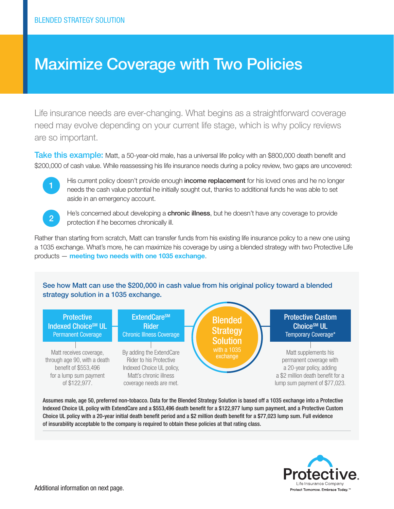## Maximize Coverage with Two Policies

Life insurance needs are ever-changing. What begins as a straightforward coverage need may evolve depending on your current life stage, which is why policy reviews are so important.

Take this example: Matt, a 50-year-old male, has a universal life policy with an \$800,000 death benefit and \$200,000 of cash value. While reassessing his life insurance needs during a policy review, two gaps are uncovered:



His current policy doesn't provide enough income replacement for his loved ones and he no longer needs the cash value potential he initially sought out, thanks to additional funds he was able to set aside in an emergency account.



He's concerned about developing a **chronic illness**, but he doesn't have any coverage to provide **2** protection if he becomes chronically ill.

Rather than starting from scratch, Matt can transfer funds from his existing life insurance policy to a new one using a 1035 exchange. What's more, he can maximize his coverage by using a blended strategy with two Protective Life products — meeting two needs with one 1035 exchange.

See how Matt can use the \$200,000 in cash value from his original policy toward a blended strategy solution in a 1035 exchange.



Assumes male, age 50, preferred non-tobacco. Data for the Blended Strategy Solution is based off a 1035 exchange into a Protective Indexed Choice UL policy with ExtendCare and a \$553,496 death benefit for a \$122,977 lump sum payment, and a Protective Custom Choice UL policy with a 20-year initial death benefit period and a \$2 million death benefit for a \$77,023 lump sum. Full evidence of insurability acceptable to the company is required to obtain these policies at that rating class.